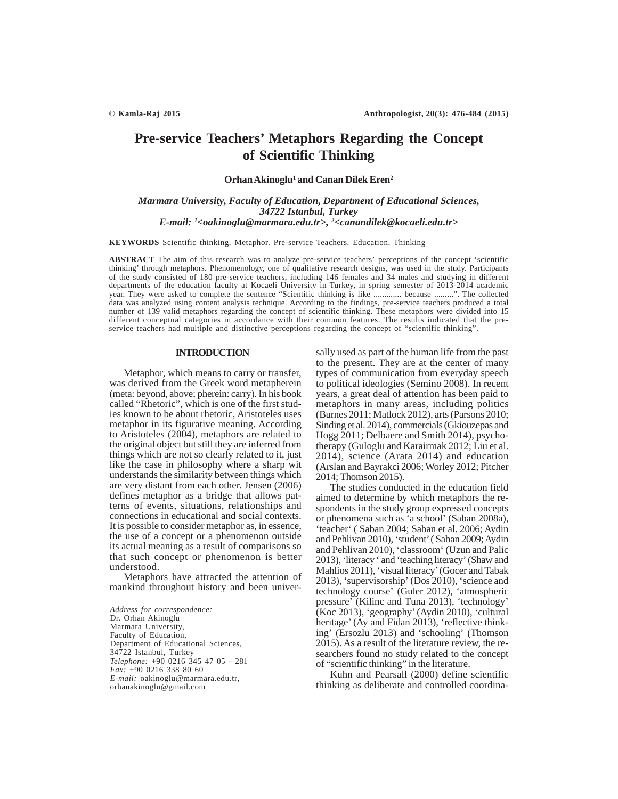# **Pre-service Teachers' Metaphors Regarding the Concept of Scientific Thinking**

Orhan Akinoglu<sup>1</sup> and Canan Dilek Eren<sup>2</sup>

# *Marmara University, Faculty of Education, Department of Educational Sciences, 34722 Istanbul, Turkey E-mail: 1 <oakinoglu@marmara.edu.tr>, 2 <canandilek@kocaeli.edu.tr>*

**KEYWORDS** Scientific thinking. Metaphor. Pre-service Teachers. Education. Thinking

**ABSTRACT** The aim of this research was to analyze pre-service teachers' perceptions of the concept 'scientific thinking' through metaphors. Phenomenology, one of qualitative research designs, was used in the study. Participants of the study consisted of 180 pre-service teachers, including 146 females and 34 males and studying in different departments of the education faculty at Kocaeli University in Turkey, in spring semester of 2013-2014 academic year. They were asked to complete the sentence "Scientific thinking is like ............. because .........". The collected data was analyzed using content analysis technique. According to the findings, pre-service teachers produced a total number of 139 valid metaphors regarding the concept of scientific thinking. These metaphors were divided into 15 different conceptual categories in accordance with their common features. The results indicated that the preservice teachers had multiple and distinctive perceptions regarding the concept of "scientific thinking".

## **INTRODUCTION**

Metaphor, which means to carry or transfer, was derived from the Greek word metapherein (meta: beyond, above; pherein: carry). In his book called "Rhetoric", which is one of the first studies known to be about rhetoric, Aristoteles uses metaphor in its figurative meaning. According to Aristoteles (2004), metaphors are related to the original object but still they are inferred from things which are not so clearly related to it, just like the case in philosophy where a sharp wit understands the similarity between things which are very distant from each other. Jensen (2006) defines metaphor as a bridge that allows patterns of events, situations, relationships and connections in educational and social contexts. It is possible to consider metaphor as, in essence, the use of a concept or a phenomenon outside its actual meaning as a result of comparisons so that such concept or phenomenon is better understood.

Metaphors have attracted the attention of mankind throughout history and been universally used as part of the human life from the past to the present. They are at the center of many types of communication from everyday speech to political ideologies (Semino 2008). In recent years, a great deal of attention has been paid to metaphors in many areas, including politics (Burnes 2011; Matlock 2012), arts (Parsons 2010; Sinding et al. 2014), commercials (Gkiouzepas and Hogg 2011; Delbaere and Smith 2014), psychotherapy (Guloglu and Karairmak 2012; Liu et al. 2014), science (Arata 2014) and education (Arslan and Bayrakci 2006; Worley 2012; Pitcher 2014; Thomson 2015).

The studies conducted in the education field aimed to determine by which metaphors the respondents in the study group expressed concepts or phenomena such as 'a school' (Saban 2008a), 'teacher' ( Saban 2004; Saban et al. 2006; Aydin and Pehlivan 2010), 'student' ( Saban 2009; Aydin and Pehlivan 2010), 'classroom' (Uzun and Palic 2013), 'literacy ' and 'teaching literacy' (Shaw and Mahlios 2011), 'visual literacy' (Gocer and Tabak 2013), 'supervisorship' (Dos 2010), 'science and technology course' (Guler 2012), 'atmospheric pressure' (Kilinc and Tuna 2013), 'technology' (Koc 2013), 'geography' (Aydin 2010), 'cultural heritage' (Ay and Fidan 2013), 'reflective thinking' (Ersozlu 2013) and 'schooling' (Thomson 2015). As a result of the literature review, the researchers found no study related to the concept of "scientific thinking" in the literature.

Kuhn and Pearsall (2000) define scientific thinking as deliberate and controlled coordina-

*Address for correspondence:* Dr. Orhan Akinoglu Marmara University, Faculty of Education, Department of Educational Sciences, 34722 Istanbul, Turkey *Telephone:* +90 0216 345 47 05 - 281 *Fax:* +90 0216 338 80 60 *E-mail:* oakinoglu@marmara.edu.tr, orhanakinoglu@gmail.com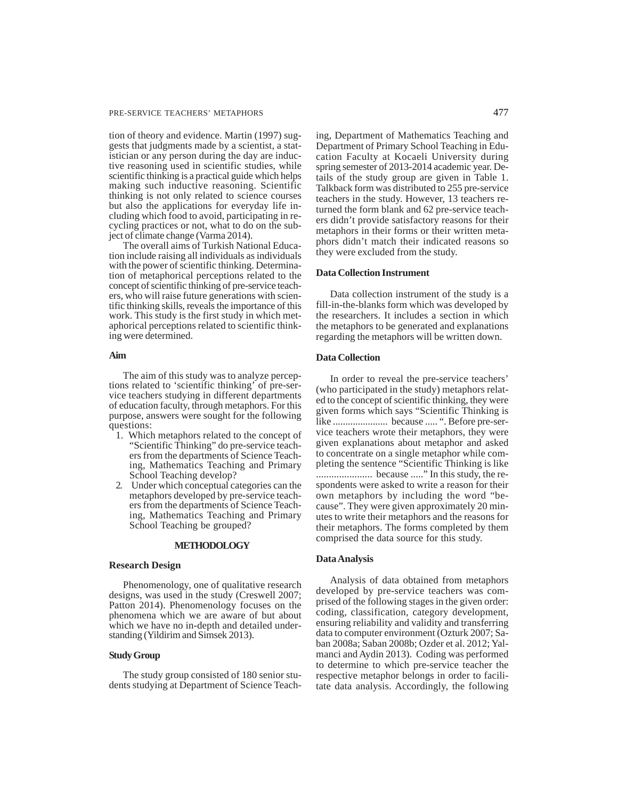#### PRE-SERVICE TEACHERS' METAPHORS 477

tion of theory and evidence. Martin (1997) suggests that judgments made by a scientist, a statistician or any person during the day are inductive reasoning used in scientific studies, while scientific thinking is a practical guide which helps making such inductive reasoning. Scientific thinking is not only related to science courses but also the applications for everyday life including which food to avoid, participating in recycling practices or not, what to do on the subject of climate change (Varma 2014).

The overall aims of Turkish National Education include raising all individuals as individuals with the power of scientific thinking. Determination of metaphorical perceptions related to the concept of scientific thinking of pre-service teachers, who will raise future generations with scientific thinking skills, reveals the importance of this work. This study is the first study in which metaphorical perceptions related to scientific thinking were determined.

#### **Aim**

The aim of this study was to analyze perceptions related to 'scientific thinking' of pre-service teachers studying in different departments of education faculty, through metaphors. For this purpose, answers were sought for the following questions:

- 1. Which metaphors related to the concept of "Scientific Thinking" do pre-service teachers from the departments of Science Teaching, Mathematics Teaching and Primary School Teaching develop?
- 2. Under which conceptual categories can the metaphors developed by pre-service teachers from the departments of Science Teaching, Mathematics Teaching and Primary School Teaching be grouped?

#### **METHODOLOGY**

#### **Research Design**

Phenomenology, one of qualitative research designs, was used in the study (Creswell 2007; Patton 2014). Phenomenology focuses on the phenomena which we are aware of but about which we have no in-depth and detailed understanding (Yildirim and Simsek 2013).

# **Study Group**

The study group consisted of 180 senior students studying at Department of Science Teaching, Department of Mathematics Teaching and Department of Primary School Teaching in Education Faculty at Kocaeli University during spring semester of 2013-2014 academic year. Details of the study group are given in Table 1. Talkback form was distributed to 255 pre-service teachers in the study. However, 13 teachers returned the form blank and 62 pre-service teachers didn't provide satisfactory reasons for their metaphors in their forms or their written metaphors didn't match their indicated reasons so they were excluded from the study.

## **Data Collection Instrument**

Data collection instrument of the study is a fill-in-the-blanks form which was developed by the researchers. It includes a section in which the metaphors to be generated and explanations regarding the metaphors will be written down.

# **Data Collection**

In order to reveal the pre-service teachers' (who participated in the study) metaphors related to the concept of scientific thinking, they were given forms which says "Scientific Thinking is like ...................... because ..... ". Before pre-service teachers wrote their metaphors, they were given explanations about metaphor and asked to concentrate on a single metaphor while completing the sentence "Scientific Thinking is like ...................... because ....." In this study, the respondents were asked to write a reason for their own metaphors by including the word "because". They were given approximately 20 minutes to write their metaphors and the reasons for their metaphors. The forms completed by them comprised the data source for this study.

### **Data Analysis**

Analysis of data obtained from metaphors developed by pre-service teachers was comprised of the following stages in the given order: coding, classification, category development, ensuring reliability and validity and transferring data to computer environment (Ozturk 2007; Saban 2008a; Saban 2008b; Ozder et al. 2012; Yalmanci and Aydin 2013). Coding was performed to determine to which pre-service teacher the respective metaphor belongs in order to facilitate data analysis. Accordingly, the following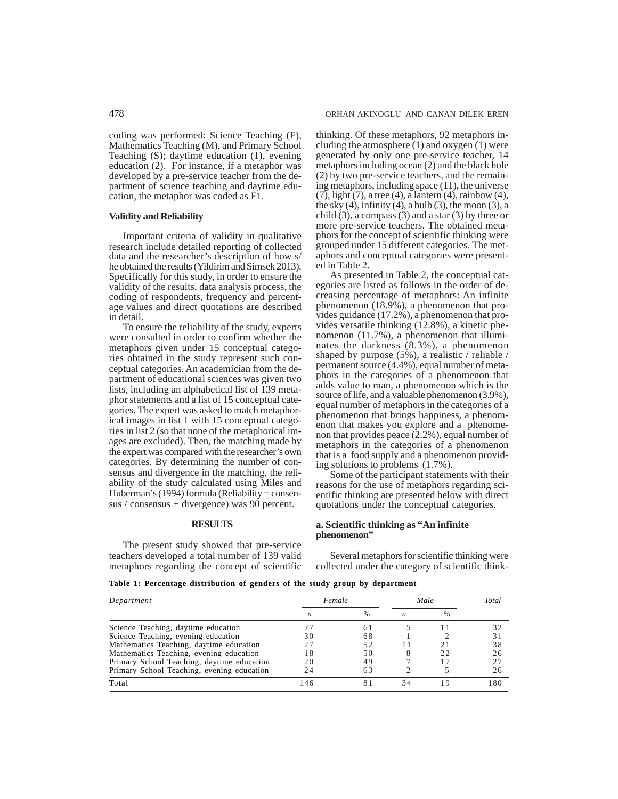coding was performed: Science Teaching (F), Mathematics Teaching (M), and Primary School Teaching (S); daytime education (1), evening education (2). For instance, if a metaphor was developed by a pre-service teacher from the department of science teaching and daytime education, the metaphor was coded as F1.

# **Validity and Reliability**

Important criteria of validity in qualitative research include detailed reporting of collected data and the researcher's description of how s/ he obtained the results (Yildirim and Simsek 2013). Specifically for this study, in order to ensure the validity of the results, data analysis process, the coding of respondents, frequency and percentage values and direct quotations are described in detail.

To ensure the reliability of the study, experts were consulted in order to confirm whether the metaphors given under 15 conceptual categories obtained in the study represent such conceptual categories. An academician from the department of educational sciences was given two lists, including an alphabetical list of 139 metaphor statements and a list of 15 conceptual categories. The expert was asked to match metaphorical images in list 1 with 15 conceptual categories in list 2 (so that none of the metaphorical images are excluded). Then, the matching made by the expert was compared with the researcher's own categories. By determining the number of consensus and divergence in the matching, the reliability of the study calculated using Miles and Huberman's (1994) formula (Reliability = consensus / consensus + divergence) was 90 percent.

## **RESULTS**

The present study showed that pre-service teachers developed a total number of 139 valid metaphors regarding the concept of scientific thinking. Of these metaphors, 92 metaphors including the atmosphere (1) and oxygen (1) were generated by only one pre-service teacher, 14 metaphors including ocean (2) and the black hole (2) by two pre-service teachers, and the remaining metaphors, including space (11), the universe  $(7)$ , light  $(7)$ , a tree (4), a lantern (4), rainbow (4), the sky  $(4)$ , infinity  $(4)$ , a bulb  $(3)$ , the moon  $(3)$ , a child  $(3)$ , a compass  $(3)$  and a star  $(3)$  by three or more pre-service teachers. The obtained metaphors for the concept of scientific thinking were grouped under 15 different categories. The metaphors and conceptual categories were presented in Table 2.

As presented in Table 2, the conceptual categories are listed as follows in the order of decreasing percentage of metaphors: An infinite phenomenon (18.9%), a phenomenon that provides guidance (17.2%), a phenomenon that provides versatile thinking (12.8%), a kinetic phenomenon (11.7%), a phenomenon that illuminates the darkness  $(8.3\%)$ , a phenomenon shaped by purpose (5%), a realistic / reliable / permanent source (4.4%), equal number of metaphors in the categories of a phenomenon that adds value to man, a phenomenon which is the source of life, and a valuable phenomenon (3.9%), equal number of metaphors in the categories of a phenomenon that brings happiness, a phenomenon that makes you explore and a phenomenon that provides peace  $(2.2%)$ , equal number of metaphors in the categories of a phenomenon that is a food supply and a phenomenon providing solutions to problems (1.7%).

Some of the participant statements with their reasons for the use of metaphors regarding scientific thinking are presented below with direct quotations under the conceptual categories.

#### **a. Scientific thinking as "An infinite phenomenon"**

Several metaphors for scientific thinking were collected under the category of scientific think-

**Table 1: Percentage distribution of genders of the study group by department**

| Department                                 | Female |               | Male |      | Total |
|--------------------------------------------|--------|---------------|------|------|-------|
|                                            | n      | $\frac{0}{0}$ |      | $\%$ |       |
| Science Teaching, daytime education        |        | 61            |      |      |       |
| Science Teaching, evening education        | 30     | 68            |      |      | 31    |
| Mathematics Teaching, daytime education    | 27     | 52            |      |      | 38    |
| Mathematics Teaching, evening education    | 18     | 50            | 8    | 22   | 26    |
| Primary School Teaching, daytime education | 20     | 49            |      |      |       |
| Primary School Teaching, evening education | 24     | 63            |      |      | 26    |
| Total                                      | 146    | 81            | 34   |      | 180   |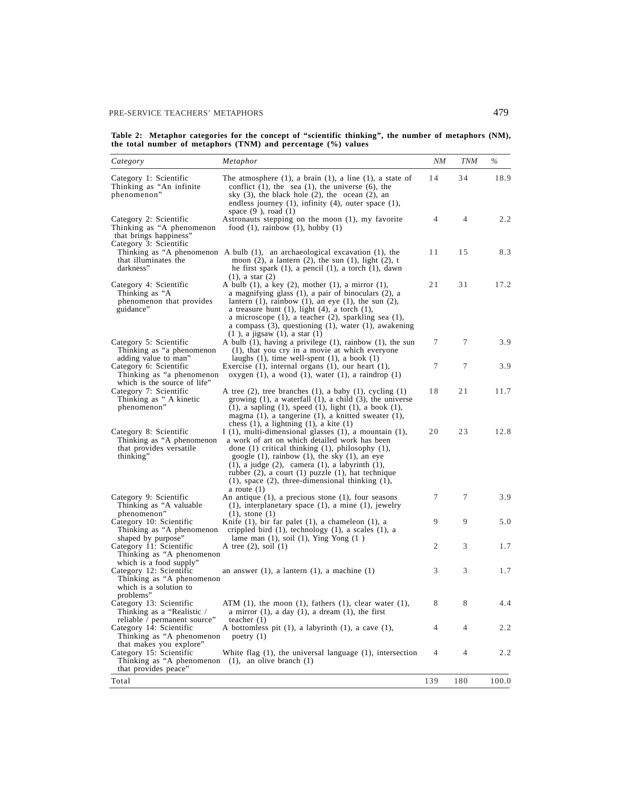**Table 2: Metaphor categories for the concept of "scientific thinking", the number of metaphors (NM), the total number of metaphors (TNM) and percentage (%) values**

| Category                                                                                                                              | Metaphor                                                                                                                                                                                                                                                                                                                                                                                                                                    | NΜ  | <b>TNM</b>     | $\%$  |
|---------------------------------------------------------------------------------------------------------------------------------------|---------------------------------------------------------------------------------------------------------------------------------------------------------------------------------------------------------------------------------------------------------------------------------------------------------------------------------------------------------------------------------------------------------------------------------------------|-----|----------------|-------|
| Category 1: Scientific<br>Thinking as "An infinite<br>phenomenon"                                                                     | The atmosphere $(1)$ , a brain $(1)$ , a line $(1)$ , a state of<br>conflict $(1)$ , the sea $(1)$ , the universe $(6)$ , the<br>sky $(3)$ , the black hole $(2)$ , the ocean $(2)$ , an<br>endless journey $(1)$ , infinity $(4)$ , outer space $(1)$ ,<br>space $(9)$ , road $(1)$                                                                                                                                                        | 14  | 34             | 18.9  |
| Category 2: Scientific<br>Thinking as "A phenomenon<br>that brings happiness"                                                         | Astronauts stepping on the moon (1), my favorite<br>food $(1)$ , rainbow $(1)$ , hobby $(1)$                                                                                                                                                                                                                                                                                                                                                | 4   | $\overline{4}$ | 2.2   |
| Category 3: Scientific<br>that illuminates the<br>darkness"                                                                           | Thinking as "A phenomenon A bulb $(1)$ , an archaeological excavation $(1)$ , the<br>moon $(2)$ , a lantern $(2)$ , the sun $(1)$ , light $(2)$ , t<br>he first spark $(1)$ , a pencil $(1)$ , a torch $(1)$ , dawn<br>$(1)$ , a star $(2)$                                                                                                                                                                                                 | 11  | 15             | 8.3   |
| Category 4: Scientific<br>Thinking as "A<br>phenomenon that provides<br>guidance"                                                     | A bulb $(1)$ , a key $(2)$ , mother $(1)$ , a mirror $(1)$ ,<br>a magnifying glass (1), a pair of binoculars (2), a<br>lantern $(1)$ , rainbow $(1)$ , an eye $(1)$ , the sun $(2)$ ,<br>a treasure hunt $(1)$ , light $(4)$ , a torch $(1)$ ,<br>a microscope $(1)$ , a teacher $(2)$ , sparkling sea $(1)$ ,<br>a compass $(3)$ , questioning $(1)$ , water $(1)$ , awakening<br>$(1)$ , a jigsaw $(1)$ , a star $(1)$                    | 21  | 31             | 17.2  |
| Category 5: Scientific<br>Thinking as "a phenomenon<br>adding value to man"                                                           | A bulb $(1)$ , having a privilege $(1)$ , rainbow $(1)$ , the sun<br>(1), that you cry in a movie at which everyone<br>laughs $(1)$ , time well-spent $(1)$ , a book $(1)$                                                                                                                                                                                                                                                                  | 7   | 7              | 3.9   |
| Category 6: Scientific<br>Thinking as "a phenomenon<br>which is the source of life"                                                   | Exercise $(1)$ , internal organs $(1)$ , our heart $(1)$ ,<br>oxygen $(1)$ , a wood $(1)$ , water $(1)$ , a raindrop $(1)$                                                                                                                                                                                                                                                                                                                  | 7   | 7              | 3.9   |
| Category 7: Scientific<br>Thinking as "A kinetic<br>phenomenon"                                                                       | A tree $(2)$ , tree branches $(1)$ , a baby $(1)$ , cycling $(1)$<br>growing $(1)$ , a waterfall $(1)$ , a child $(3)$ , the universe<br>$(1)$ , a sapling $(1)$ , speed $(1)$ , light $(1)$ , a book $(1)$ ,<br>magma $(1)$ , a tangerine $(1)$ , a knitted sweater $(1)$ ,<br>chess $(1)$ , a lightning $(1)$ , a kite $(1)$                                                                                                              | 18  | 21             | 11.7  |
| Category 8: Scientific<br>Thinking as "A phenomenon"<br>that provides versatile<br>thinking"                                          | I $(1)$ , multi-dimensional glasses $(1)$ , a mountain $(1)$ ,<br>a work of art on which detailed work has been<br>done $(1)$ critical thinking $(1)$ , philosophy $(1)$ ,<br>google $(1)$ , rainbow $(1)$ , the sky $(1)$ , an eye<br>$(1)$ , a judge $(2)$ , camera $(1)$ , a labyrinth $(1)$ ,<br>rubber $(2)$ , a court $(1)$ puzzle $(1)$ , hat technique<br>$(1)$ , space $(2)$ , three-dimensional thinking $(1)$ ,<br>a route $(1)$ | 20  | 23             | 12.8  |
| Category 9: Scientific<br>Thinking as "A valuable<br>phenomenon"                                                                      | An antique $(1)$ , a precious stone $(1)$ , four seasons<br>$(1)$ , interplanetary space $(1)$ , a mine $(1)$ , jewelry<br>$(1)$ , stone $(1)$                                                                                                                                                                                                                                                                                              | 7   | 7              | 3.9   |
| Category 10: Scientific<br>Thinking as "A phenomenon"<br>shaped by purpose"                                                           | Knife $(1)$ , bir far palet $(1)$ , a chameleon $(1)$ , a<br>crippled bird $(1)$ , technology $(1)$ , a scales $(1)$ , a<br>lame man $(1)$ , soil $(1)$ , Ying Yong $(1)$                                                                                                                                                                                                                                                                   | 9   | 9              | 5.0   |
| Category 11: Scientific<br>Thinking as "A phenomenon<br>which is a food supply"                                                       | A tree $(2)$ , soil $(1)$                                                                                                                                                                                                                                                                                                                                                                                                                   | 2   | 3              | 1.7   |
| Category 12: Scientific<br>Thinking as "A phenomenon<br>which is a solution to<br>problems"                                           | an answer $(1)$ , a lantern $(1)$ , a machine $(1)$                                                                                                                                                                                                                                                                                                                                                                                         | 3   | 3              | 1.7   |
| Category 13: Scientific<br>Thinking as a "Realistic /<br>reliable / permanent source"                                                 | ATM $(1)$ , the moon $(1)$ , fathers $(1)$ , clear water $(1)$ ,<br>a mirror $(1)$ , a day $(1)$ , a dream $(1)$ , the first<br>teacher $(1)$                                                                                                                                                                                                                                                                                               | 8   | 8              | 4.4   |
| Category 14: Scientific<br>Thinking as "A phenomenon                                                                                  | A bottomless pit (1), a labyrinth (1), a cave (1),<br>poetry $(1)$                                                                                                                                                                                                                                                                                                                                                                          | 4   | $\overline{4}$ | 2.2   |
| that makes you explore"<br>Category 15: Scientific<br>Thinking as "A phenomenon $(1)$ , an olive branch $(1)$<br>that provides peace" | White flag $(1)$ , the universal language $(1)$ , intersection                                                                                                                                                                                                                                                                                                                                                                              | 4   | 4              | 2.2   |
| Total                                                                                                                                 |                                                                                                                                                                                                                                                                                                                                                                                                                                             | 139 | 180            | 100.0 |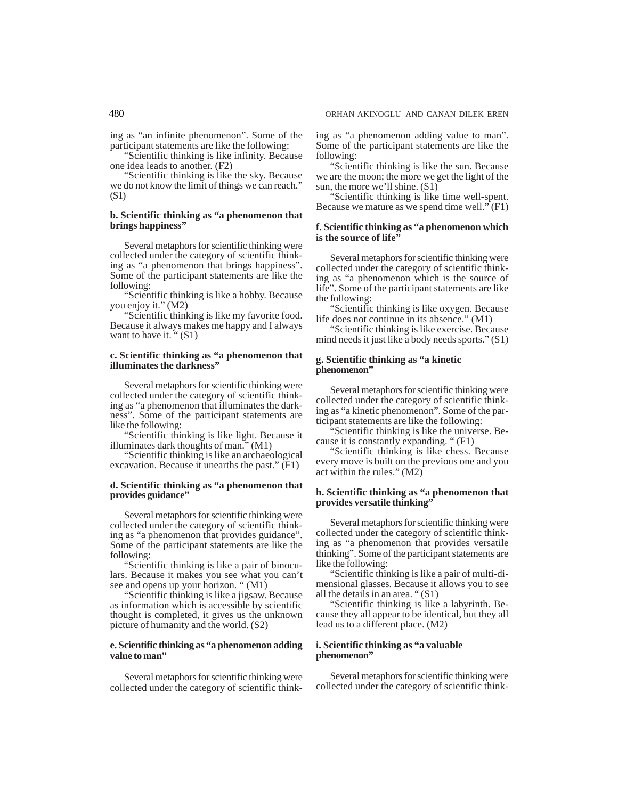ing as "an infinite phenomenon". Some of the participant statements are like the following:

"Scientific thinking is like infinity. Because one idea leads to another. (F2)

"Scientific thinking is like the sky. Because we do not know the limit of things we can reach." (S1)

## **b. Scientific thinking as "a phenomenon that brings happiness"**

Several metaphors for scientific thinking were collected under the category of scientific thinking as "a phenomenon that brings happiness". Some of the participant statements are like the following:

"Scientific thinking is like a hobby. Because you enjoy it." (M2)

"Scientific thinking is like my favorite food. Because it always makes me happy and I always want to have it. " $(S1)$ 

## **c. Scientific thinking as "a phenomenon that illuminates the darkness"**

Several metaphors for scientific thinking were collected under the category of scientific thinking as "a phenomenon that illuminates the darkness". Some of the participant statements are like the following:

"Scientific thinking is like light. Because it illuminates dark thoughts of man." (M1)

"Scientific thinking is like an archaeological excavation. Because it unearths the past." (F1)

#### **d. Scientific thinking as "a phenomenon that provides guidance"**

Several metaphors for scientific thinking were collected under the category of scientific thinking as "a phenomenon that provides guidance". Some of the participant statements are like the following:

"Scientific thinking is like a pair of binoculars. Because it makes you see what you can't see and opens up your horizon. " $(M1)$ 

"Scientific thinking is like a jigsaw. Because as information which is accessible by scientific thought is completed, it gives us the unknown picture of humanity and the world. (S2)

# **e. Scientific thinking as "a phenomenon adding value to man"**

Several metaphors for scientific thinking were collected under the category of scientific thinking as "a phenomenon adding value to man". Some of the participant statements are like the following:

"Scientific thinking is like the sun. Because we are the moon; the more we get the light of the sun, the more we'll shine. (S1)

"Scientific thinking is like time well-spent. Because we mature as we spend time well." (F1)

## **f. Scientific thinking as "a phenomenon which is the source of life"**

Several metaphors for scientific thinking were collected under the category of scientific thinking as "a phenomenon which is the source of life". Some of the participant statements are like the following:

"Scientific thinking is like oxygen. Because life does not continue in its absence." (M1)

"Scientific thinking is like exercise. Because mind needs it just like a body needs sports." (S1)

#### **g. Scientific thinking as "a kinetic phenomenon"**

Several metaphors for scientific thinking were collected under the category of scientific thinking as "a kinetic phenomenon". Some of the participant statements are like the following:

"Scientific thinking is like the universe. Because it is constantly expanding. " (F1)

"Scientific thinking is like chess. Because every move is built on the previous one and you act within the rules." (M2)

# **h. Scientific thinking as "a phenomenon that provides versatile thinking"**

Several metaphors for scientific thinking were collected under the category of scientific thinking as "a phenomenon that provides versatile thinking". Some of the participant statements are like the following:

"Scientific thinking is like a pair of multi-dimensional glasses. Because it allows you to see all the details in an area. " (S1)

"Scientific thinking is like a labyrinth. Because they all appear to be identical, but they all lead us to a different place. (M2)

# **i. Scientific thinking as "a valuable phenomenon"**

Several metaphors for scientific thinking were collected under the category of scientific think-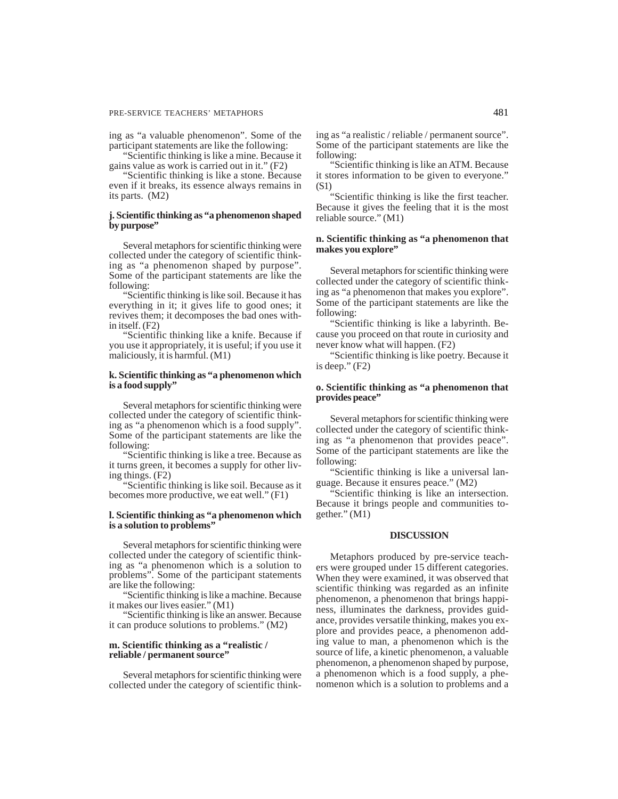## PRE-SERVICE TEACHERS' METAPHORS 481

ing as "a valuable phenomenon". Some of the participant statements are like the following:

"Scientific thinking is like a mine. Because it gains value as work is carried out in it." (F2)

"Scientific thinking is like a stone. Because even if it breaks, its essence always remains in its parts. (M2)

# **j. Scientific thinking as "a phenomenon shaped by purpose"**

Several metaphors for scientific thinking were collected under the category of scientific thinking as "a phenomenon shaped by purpose". Some of the participant statements are like the following:

"Scientific thinking is like soil. Because it has everything in it; it gives life to good ones; it revives them; it decomposes the bad ones within itself. (F2)

"Scientific thinking like a knife. Because if you use it appropriately, it is useful; if you use it maliciously, it is harmful. (M1)

## **k. Scientific thinking as "a phenomenon which is a food supply"**

Several metaphors for scientific thinking were collected under the category of scientific thinking as "a phenomenon which is a food supply". Some of the participant statements are like the following:

"Scientific thinking is like a tree. Because as it turns green, it becomes a supply for other living things. (F2)

"Scientific thinking is like soil. Because as it becomes more productive, we eat well." (F1)

## **l. Scientific thinking as "a phenomenon which is a solution to problems"**

Several metaphors for scientific thinking were collected under the category of scientific thinking as "a phenomenon which is a solution to problems". Some of the participant statements are like the following:

"Scientific thinking is like a machine. Because it makes our lives easier." (M1)

"Scientific thinking is like an answer. Because it can produce solutions to problems." (M2)

## **m. Scientific thinking as a "realistic / reliable / permanent source"**

Several metaphors for scientific thinking were collected under the category of scientific thinking as "a realistic / reliable / permanent source". Some of the participant statements are like the following:

"Scientific thinking is like an ATM. Because it stores information to be given to everyone." (S1)

"Scientific thinking is like the first teacher. Because it gives the feeling that it is the most reliable source." (M1)

# **n. Scientific thinking as "a phenomenon that makes you explore"**

Several metaphors for scientific thinking were collected under the category of scientific thinking as "a phenomenon that makes you explore". Some of the participant statements are like the following:

"Scientific thinking is like a labyrinth. Because you proceed on that route in curiosity and never know what will happen. (F2)

"Scientific thinking is like poetry. Because it is deep." (F2)

# **o. Scientific thinking as "a phenomenon that provides peace"**

Several metaphors for scientific thinking were collected under the category of scientific thinking as "a phenomenon that provides peace". Some of the participant statements are like the following:

"Scientific thinking is like a universal language. Because it ensures peace." (M2)

"Scientific thinking is like an intersection. Because it brings people and communities together." (M1)

## **DISCUSSION**

Metaphors produced by pre-service teachers were grouped under 15 different categories. When they were examined, it was observed that scientific thinking was regarded as an infinite phenomenon, a phenomenon that brings happiness, illuminates the darkness, provides guidance, provides versatile thinking, makes you explore and provides peace, a phenomenon adding value to man, a phenomenon which is the source of life, a kinetic phenomenon, a valuable phenomenon, a phenomenon shaped by purpose, a phenomenon which is a food supply, a phenomenon which is a solution to problems and a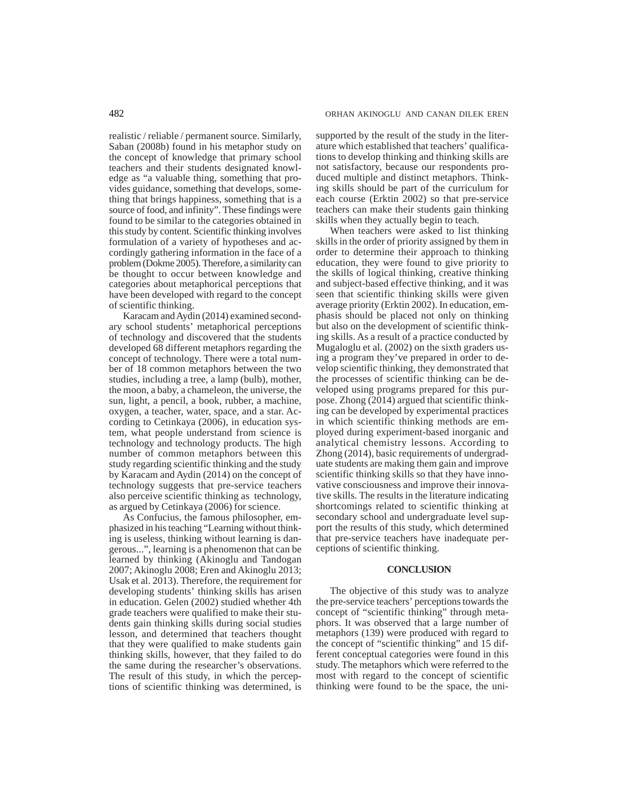realistic / reliable / permanent source. Similarly, Saban (2008b) found in his metaphor study on the concept of knowledge that primary school teachers and their students designated knowledge as "a valuable thing, something that provides guidance, something that develops, something that brings happiness, something that is a source of food, and infinity". These findings were found to be similar to the categories obtained in this study by content. Scientific thinking involves formulation of a variety of hypotheses and accordingly gathering information in the face of a problem (Dokme 2005). Therefore, a similarity can be thought to occur between knowledge and categories about metaphorical perceptions that have been developed with regard to the concept of scientific thinking.

Karacam and Aydin (2014) examined secondary school students' metaphorical perceptions of technology and discovered that the students developed 68 different metaphors regarding the concept of technology. There were a total number of 18 common metaphors between the two studies, including a tree, a lamp (bulb), mother, the moon, a baby, a chameleon, the universe, the sun, light, a pencil, a book, rubber, a machine, oxygen, a teacher, water, space, and a star. According to Cetinkaya (2006), in education system, what people understand from science is technology and technology products. The high number of common metaphors between this study regarding scientific thinking and the study by Karacam and Aydin (2014) on the concept of technology suggests that pre-service teachers also perceive scientific thinking as technology, as argued by Cetinkaya (2006) for science.

As Confucius, the famous philosopher, emphasized in his teaching "Learning without thinking is useless, thinking without learning is dangerous...", learning is a phenomenon that can be learned by thinking (Akinoglu and Tandogan 2007; Akinoglu 2008; Eren and Akinoglu 2013; Usak et al. 2013). Therefore, the requirement for developing students' thinking skills has arisen in education. Gelen (2002) studied whether 4th grade teachers were qualified to make their students gain thinking skills during social studies lesson, and determined that teachers thought that they were qualified to make students gain thinking skills, however, that they failed to do the same during the researcher's observations. The result of this study, in which the perceptions of scientific thinking was determined, is

supported by the result of the study in the literature which established that teachers' qualifications to develop thinking and thinking skills are not satisfactory, because our respondents produced multiple and distinct metaphors. Thinking skills should be part of the curriculum for each course (Erktin 2002) so that pre-service teachers can make their students gain thinking skills when they actually begin to teach.

When teachers were asked to list thinking skills in the order of priority assigned by them in order to determine their approach to thinking education, they were found to give priority to the skills of logical thinking, creative thinking and subject-based effective thinking, and it was seen that scientific thinking skills were given average priority (Erktin 2002). In education, emphasis should be placed not only on thinking but also on the development of scientific thinking skills. As a result of a practice conducted by Mugaloglu et al. (2002) on the sixth graders using a program they've prepared in order to develop scientific thinking, they demonstrated that the processes of scientific thinking can be developed using programs prepared for this purpose. Zhong (2014) argued that scientific thinking can be developed by experimental practices in which scientific thinking methods are employed during experiment-based inorganic and analytical chemistry lessons. According to Zhong (2014), basic requirements of undergraduate students are making them gain and improve scientific thinking skills so that they have innovative consciousness and improve their innovative skills. The results in the literature indicating shortcomings related to scientific thinking at secondary school and undergraduate level support the results of this study, which determined that pre-service teachers have inadequate perceptions of scientific thinking.

#### **CONCLUSION**

The objective of this study was to analyze the pre-service teachers' perceptions towards the concept of "scientific thinking" through metaphors. It was observed that a large number of metaphors (139) were produced with regard to the concept of "scientific thinking" and 15 different conceptual categories were found in this study. The metaphors which were referred to the most with regard to the concept of scientific thinking were found to be the space, the uni-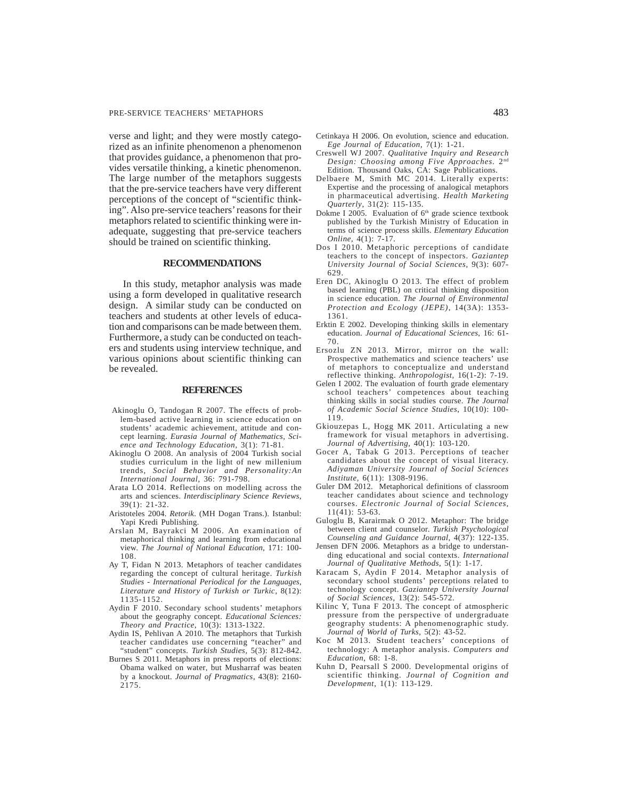#### PRE-SERVICE TEACHERS' METAPHORS 483

verse and light; and they were mostly categorized as an infinite phenomenon a phenomenon that provides guidance, a phenomenon that provides versatile thinking, a kinetic phenomenon. The large number of the metaphors suggests that the pre-service teachers have very different perceptions of the concept of "scientific thinking". Also pre-service teachers' reasons for their metaphors related to scientific thinking were inadequate, suggesting that pre-service teachers should be trained on scientific thinking.

#### **RECOMMENDATIONS**

In this study, metaphor analysis was made using a form developed in qualitative research design. A similar study can be conducted on teachers and students at other levels of education and comparisons can be made between them. Furthermore, a study can be conducted on teachers and students using interview technique, and various opinions about scientific thinking can be revealed.

#### **REFERENCES**

- Akinoglu O, Tandogan R 2007. The effects of problem-based active learning in science education on students' academic achievement, attitude and concept learning. *Eurasia Journal of Mathematics, Science and Technology Education*, 3(1): 71-81.
- Akinoglu O 2008. An analysis of 2004 Turkish social studies curriculum in the light of new millenium trends, *Social Behavior and Personality:An International Journal,* 36: 791-798.
- Arata LO 2014. Reflections on modelling across the arts and sciences. *Interdisciplinary Science Reviews*, 39(1): 21-32.
- Aristoteles 2004. *Retorik*. (MH Dogan Trans.). Istanbul: Yapi Kredi Publishing.
- Arslan M, Bayrakci M 2006. An examination of metaphorical thinking and learning from educational view. *The Journal of National Education*, 171: 100- 108.
- Ay T, Fidan N 2013. Metaphors of teacher candidates regarding the concept of cultural heritage. *Turkish Studies - International Periodical for the Languages, Literature and History of Turkish or Turkic*, 8(12): 1135-1152.
- Aydin F 2010. Secondary school students' metaphors about the geography concept. *Educational Sciences: Theory and Practice*, 10(3): 1313-1322.
- Aydin IS, Pehlivan A 2010. The metaphors that Turkish teacher candidates use concerning "teacher" and "student" concepts. *Turkish Studies,* 5(3): 812-842.
- Burnes S 2011. Metaphors in press reports of elections: Obama walked on water, but Musharraf was beaten by a knockout. *Journal of Pragmatics*, 43(8): 2160- 2175.
- Cetinkaya H 2006. On evolution, science and education. *Ege Journal of Education*, 7(1): 1-21.
- Creswell WJ 2007. *Qualitative Inquiry and Research Design: Choosing among Five Approaches.* 2nd Edition. Thousand Oaks, CA: Sage Publications.
- Delbaere M, Smith MC 2014. Literally experts: Expertise and the processing of analogical metaphors in pharmaceutical advertising. *Health Marketing Quarterly*, 31(2): 115-135.
- Dokme I 2005. Evaluation of  $6<sup>th</sup>$  grade science textbook published by the Turkish Ministry of Education in terms of science process skills. *Elementary Education Online*, 4(1): 7-17.
- Dos I 2010. Metaphoric perceptions of candidate teachers to the concept of inspectors. *Gaziantep University Journal of Social Sciences,* 9(3): 607- 629.
- Eren DC, Akinoglu O 2013. The effect of problem based learning (PBL) on critical thinking disposition in science education. *The Journal of Environmental Protection and Ecology (JEPE)*, 14(3A): 1353- 1361.
- Erktin E 2002. Developing thinking skills in elementary education. *Journal of Educational Sciences*, 16: 61- 70.
- Ersozlu ZN 2013. Mirror, mirror on the wall: Prospective mathematics and science teachers' use of metaphors to conceptualize and understand reflective thinking. *Anthropologist,* 16(1-2): 7-19.
- Gelen I 2002. The evaluation of fourth grade elementary school teachers' competences about teaching thinking skills in social studies course. *The Journal of Academic Social Science Studies*, 10(10): 100- 119.
- Gkiouzepas L, Hogg MK 2011. Articulating a new framework for visual metaphors in advertising. *Journal of Advertising*, 40(1): 103-120.
- Gocer A, Tabak G 2013. Perceptions of teacher candidates about the concept of visual literacy. *Adiyaman University Journal of Social Sciences Institute,* 6(11): 1308-9196.
- Guler DM 2012. Metaphorical definitions of classroom teacher candidates about science and technology courses. *Electronic Journal of Social Sciences*, 11(41): 53-63.
- Guloglu B, Karairmak O 2012. Metaphor: The bridge between client and counselor. *Turkish Psychological Counseling and Guidance Journal,* 4(37): 122-135.
- Jensen DFN 2006. Metaphors as a bridge to understanding educational and social contexts. *International Journal of Qualitative Methods*, 5(1): 1-17.
- Karacam S, Aydin F 2014. Metaphor analysis of secondary school students' perceptions related to technology concept. *Gaziantep University Journal of Social Sciences*, 13(2): 545-572.
- Kilinc Y, Tuna F 2013. The concept of atmospheric pressure from the perspective of undergraduate geography students: A phenomenographic study. *Journal of World of Turks*, 5(2): 43-52.
- Koc M 2013. Student teachers' conceptions of technology: A metaphor analysis. *Computers and Education*, 68: 1-8.
- Kuhn D, Pearsall S 2000. Developmental origins of scientific thinking. *Journal of Cognition and Development*, 1(1): 113-129.